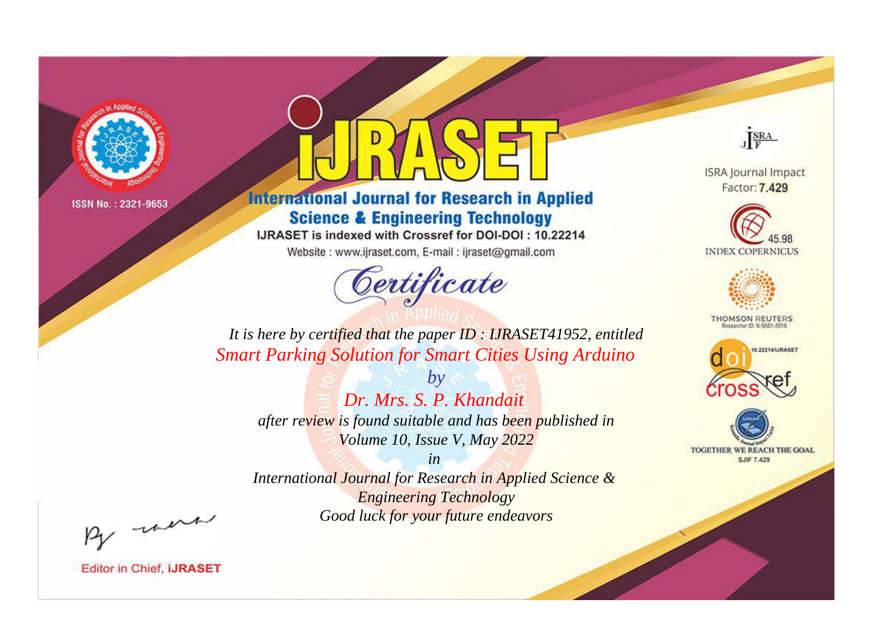

# **International Journal for Research in Applied Science & Engineering Technology**

IJRASET is indexed with Crossref for DOI-DOI: 10.22214

Website: www.ijraset.com, E-mail: ijraset@gmail.com



JERA

**ISRA Journal Impact** Factor: 7.429





**THOMSON REUTERS** 



TOGETHER WE REACH THE GOAL **SJIF 7.429** 

*It is here by certified that the paper ID : IJRASET41952, entitled Smart Parking Solution for Smart Cities Using Arduino*

*by Dr. Mrs. S. P. Khandait after review is found suitable and has been published in Volume 10, Issue V, May 2022*

*in* 

*International Journal for Research in Applied Science & Engineering Technology Good luck for your future endeavors*

By morn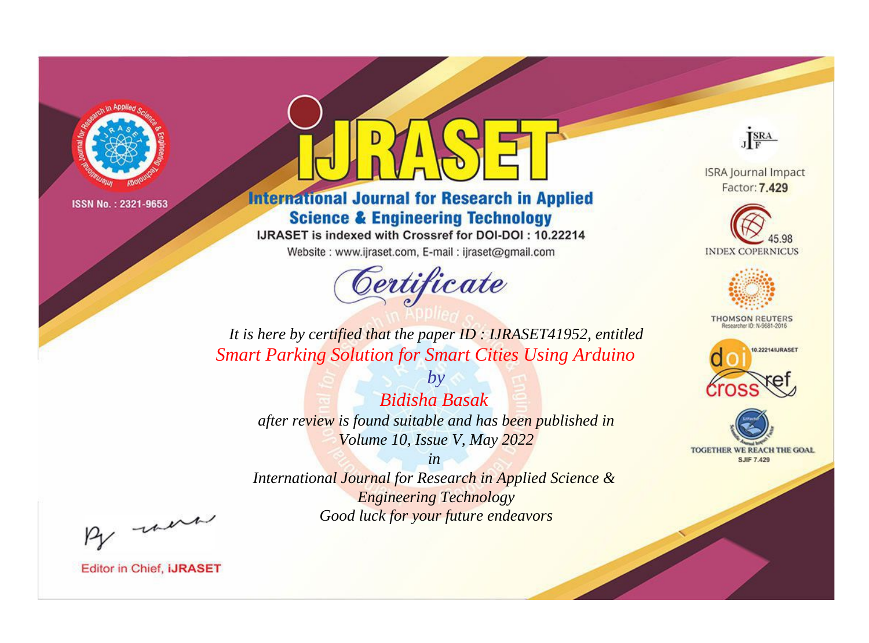

# **International Journal for Research in Applied Science & Engineering Technology**

IJRASET is indexed with Crossref for DOI-DOI: 10.22214

Website: www.ijraset.com, E-mail: ijraset@gmail.com



JERA

**ISRA Journal Impact** Factor: 7.429





**THOMSON REUTERS** 



TOGETHER WE REACH THE GOAL **SJIF 7.429** 

*It is here by certified that the paper ID : IJRASET41952, entitled Smart Parking Solution for Smart Cities Using Arduino*

*by Bidisha Basak after review is found suitable and has been published in Volume 10, Issue V, May 2022*

*in* 

*International Journal for Research in Applied Science & Engineering Technology Good luck for your future endeavors*

By morn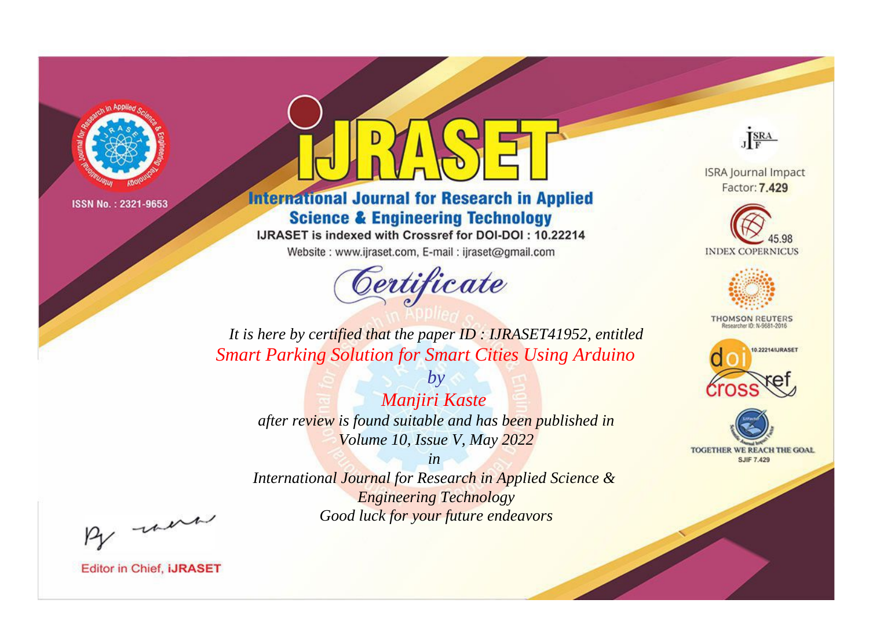

# **International Journal for Research in Applied Science & Engineering Technology**

IJRASET is indexed with Crossref for DOI-DOI: 10.22214

Website: www.ijraset.com, E-mail: ijraset@gmail.com



JERA

**ISRA Journal Impact** Factor: 7.429





**THOMSON REUTERS** 



TOGETHER WE REACH THE GOAL **SJIF 7.429** 

*It is here by certified that the paper ID : IJRASET41952, entitled Smart Parking Solution for Smart Cities Using Arduino*

*by Manjiri Kaste after review is found suitable and has been published in Volume 10, Issue V, May 2022*

*in* 

*International Journal for Research in Applied Science & Engineering Technology Good luck for your future endeavors*

By morn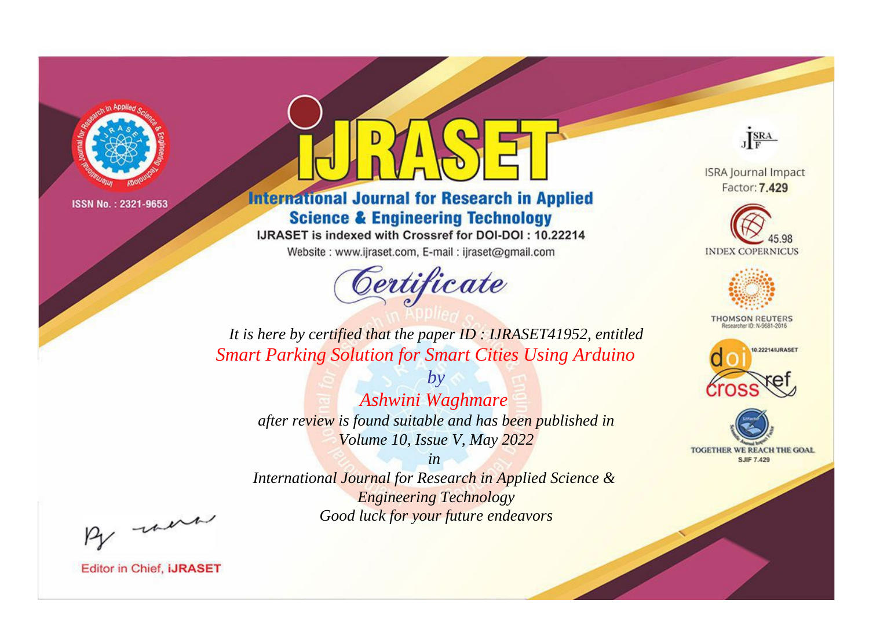

# **International Journal for Research in Applied Science & Engineering Technology**

IJRASET is indexed with Crossref for DOI-DOI: 10.22214

Website: www.ijraset.com, E-mail: ijraset@gmail.com



JERA

**ISRA Journal Impact** Factor: 7.429





**THOMSON REUTERS** 



TOGETHER WE REACH THE GOAL **SJIF 7.429** 

*It is here by certified that the paper ID : IJRASET41952, entitled Smart Parking Solution for Smart Cities Using Arduino*

*Ashwini Waghmare after review is found suitable and has been published in Volume 10, Issue V, May 2022*

*by*

*in* 

*International Journal for Research in Applied Science & Engineering Technology Good luck for your future endeavors*

By morn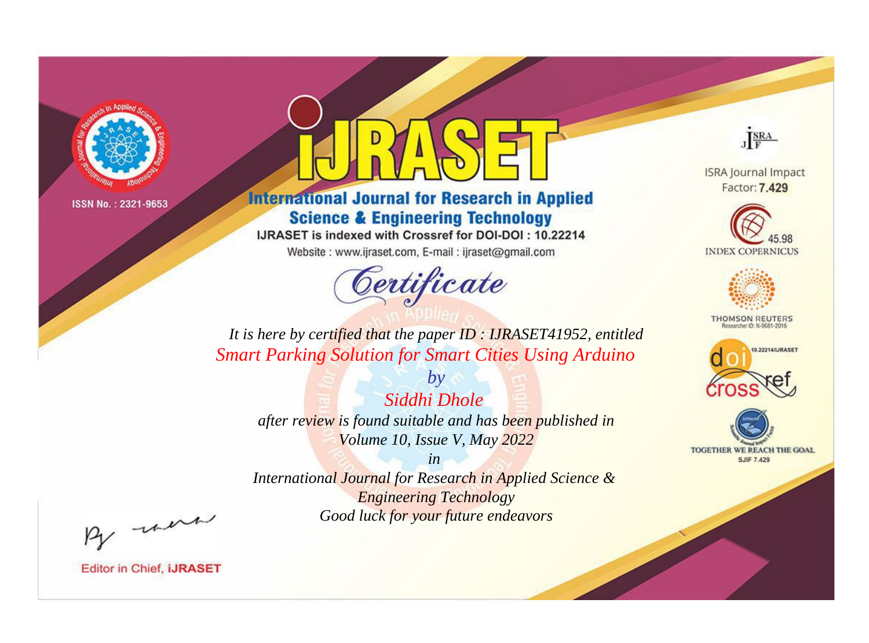

# **International Journal for Research in Applied Science & Engineering Technology**

IJRASET is indexed with Crossref for DOI-DOI: 10.22214

Website: www.ijraset.com, E-mail: ijraset@gmail.com



JERA

**ISRA Journal Impact** Factor: 7.429





**THOMSON REUTERS** 



TOGETHER WE REACH THE GOAL **SJIF 7.429** 

*It is here by certified that the paper ID : IJRASET41952, entitled Smart Parking Solution for Smart Cities Using Arduino*

*Siddhi Dhole after review is found suitable and has been published in Volume 10, Issue V, May 2022*

*by*

*in* 

*International Journal for Research in Applied Science & Engineering Technology Good luck for your future endeavors*

By morn